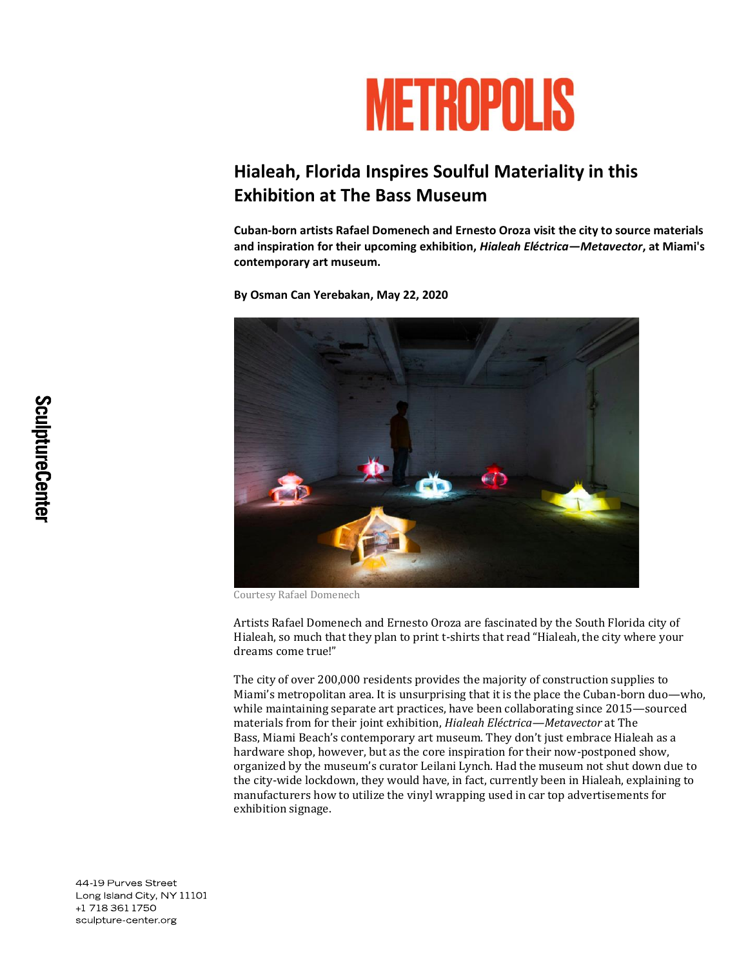

## **Hialeah, Florida Inspires Soulful Materiality in this Exhibition at The Bass Museum**

**Cuban-born artists Rafael Domenech and Ernesto Oroza visit the city to source materials and inspiration for their upcoming exhibition,** *Hialeah Eléctrica—Metavector***, at Miami's contemporary art museum.**

**By Osman Can Yerebakan, May 22, 2020**



Courtesy Rafael Domenech

Artists Rafael Domenech and Ernesto Oroza are fascinated by the South Florida city of Hialeah, so much that they plan to print t-shirts that read "Hialeah, the city where your dreams come true!"

The city of over 200,000 residents provides the majority of construction supplies to Miami's metropolitan area. It is unsurprising that it is the place the Cuban-born duo—who, while maintaining separate art practices, have been collaborating since 2015—sourced materials from for their joint exhibition, *Hialeah Eléctrica—Metavector* at The Bass, Miami Beach's contemporary art museum. They don't just embrace Hialeah as a hardware shop, however, but as the core inspiration for their now-postponed show, organized by the museum's curator Leilani Lynch. Had the museum not shut down due to the city-wide lockdown, they would have, in fact, currently been in Hialeah, explaining to manufacturers how to utilize the vinyl wrapping used in car top advertisements for exhibition signage.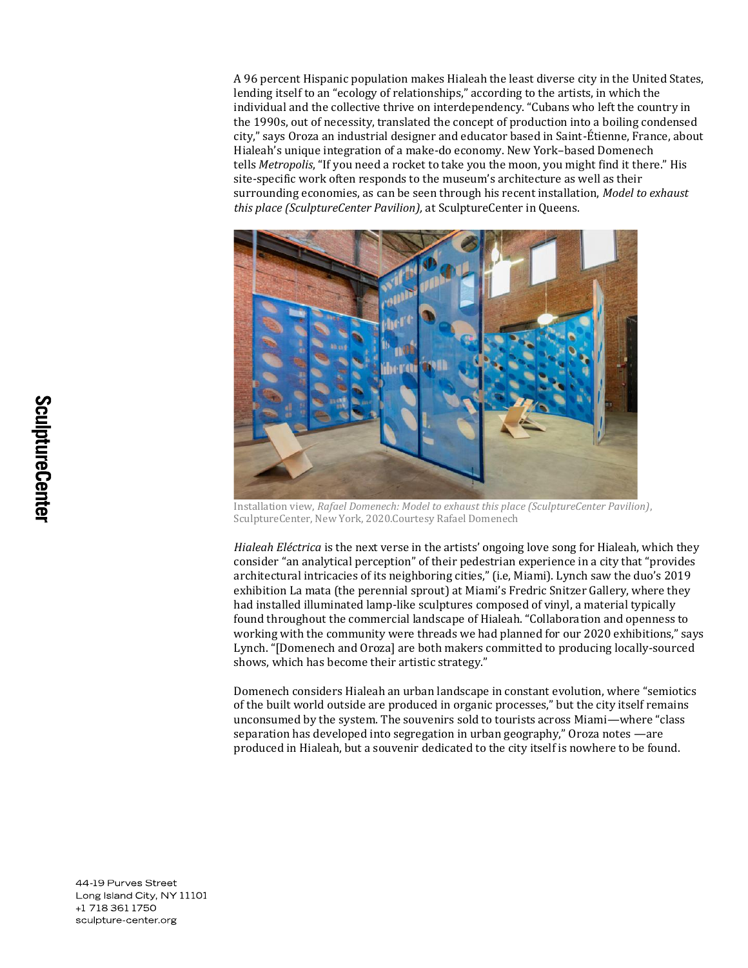A 96 percent Hispanic population makes Hialeah the least diverse city in the United States, lending itself to an "ecology of relationships," according to the artists, in which the individual and the collective thrive on interdependency. "Cubans who left the country in the 1990s, out of necessity, translated the concept of production into a boiling condensed city," says Oroza an industrial designer and educator based in Saint-Étienne, France, about Hialeah's unique integration of a make-do economy. New York–based Domenech tells *Metropolis*, "If you need a rocket to take you the moon, you might find it there." His site-specific work often responds to the museum's architecture as well as their surrounding economies, as can be seen through his recent installation, *Model to exhaust this place (SculptureCenter Pavilion),* at SculptureCenter in Queens.



Installation view, *Rafael Domenech: Model to exhaust this place (SculptureCenter Pavilion)*, SculptureCenter, New York, 2020.Courtesy Rafael Domenech

*Hialeah Eléctrica* is the next verse in the artists' ongoing love song for Hialeah, which they consider "an analytical perception" of their pedestrian experience in a city that "provides architectural intricacies of its neighboring cities," (i.e, Miami). Lynch saw the duo's 2019 exhibition [La mata \(the perennial sprout\)](https://www.snitzer.com/rafaoroza-la-mata) at Miami's Fredric Snitzer Gallery, where they had installed illuminated lamp-like sculptures composed of vinyl, a material typically found throughout the commercial landscape of Hialeah. "Collaboration and openness to working with the community were threads we had planned for our 2020 exhibitions," says Lynch. "[Domenech and Oroza] are both makers committed to producing locally-sourced shows, which has become their artistic strategy."

Domenech considers Hialeah an urban landscape in constant evolution, where "semiotics of the built world outside are produced in organic processes," but the city itself remains unconsumed by the system. The souvenirs sold to tourists across Miami—where "class separation has developed into segregation in urban geography," Oroza notes —are produced in Hialeah, but a souvenir dedicated to the city itself is nowhere to be found.

44-19 Purves Street Long Island City, NY 11101 +1 718 361 1750 sculpture-center.org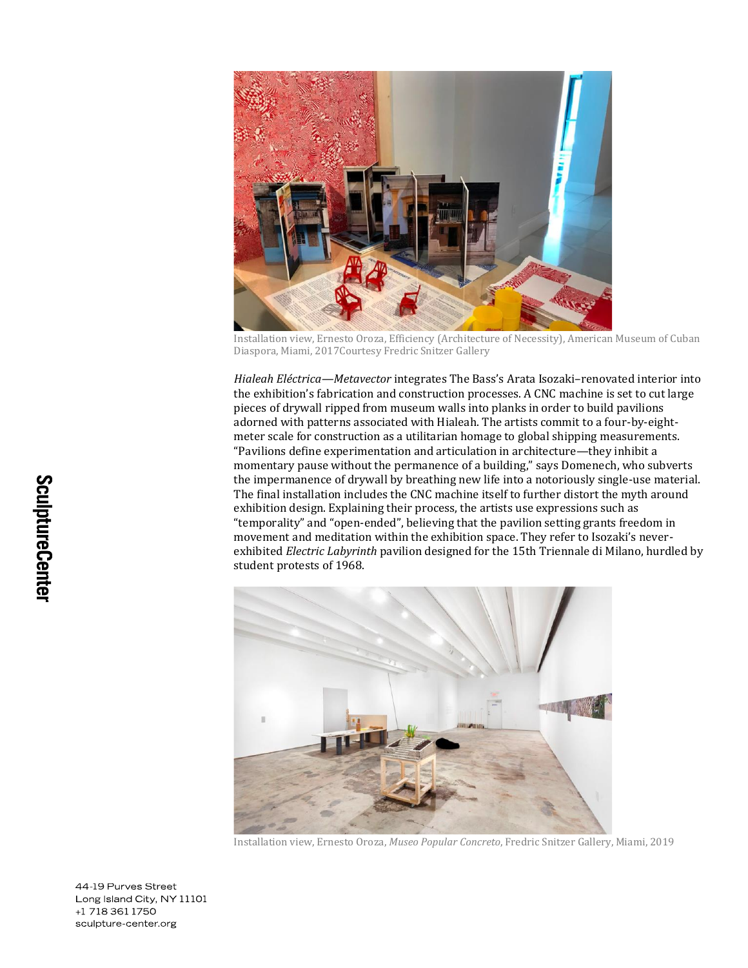

Installation view, Ernesto Oroza, Efficiency (Architecture of Necessity), American Museum of Cuban Diaspora, Miami, 2017Courtesy Fredric Snitzer Gallery

*Hialeah Eléctrica—Metavector* integrates The Bass's [Arata Isozaki](https://www.metropolismag.com/architecture/arata-isozaki-2019-pritzker-architecture-prize/)–renovated interior into the exhibition's fabrication and construction processes. A CNC machine is set to cut large pieces of drywall ripped from museum walls into planks in order to build pavilions adorned with patterns associated with Hialeah. The artists commit to a four-by-eightmeter scale for construction as a utilitarian homage to global shipping measurements. "Pavilions define experimentation and articulation in architecture—they inhibit a momentary pause without the permanence of a building," says Domenech, who subverts the impermanence of drywall by breathing new life into a notoriously single-use material. The final installation includes the CNC machine itself to further distort the myth around exhibition design. Explaining their process, the artists use expressions such as "temporality" and "open-ended", believing that the pavilion setting grants freedom in movement and meditation within the exhibition space. They refer to Isozaki's neverexhibited *[Electric Labyrinth](http://castellodirivoli.org/en/mostra/arata-isozaki-electric-labyrinth/)* pavilion designed for the 15th Triennale di Milano, hurdled by student protests of 1968.



Installation view, Ernesto Oroza, *Museo Popular Concreto*, Fredric Snitzer Gallery, Miami, 2019

44-19 Purves Street Long Island City, NY 11101 +1 718 361 1750 sculpture-center.org